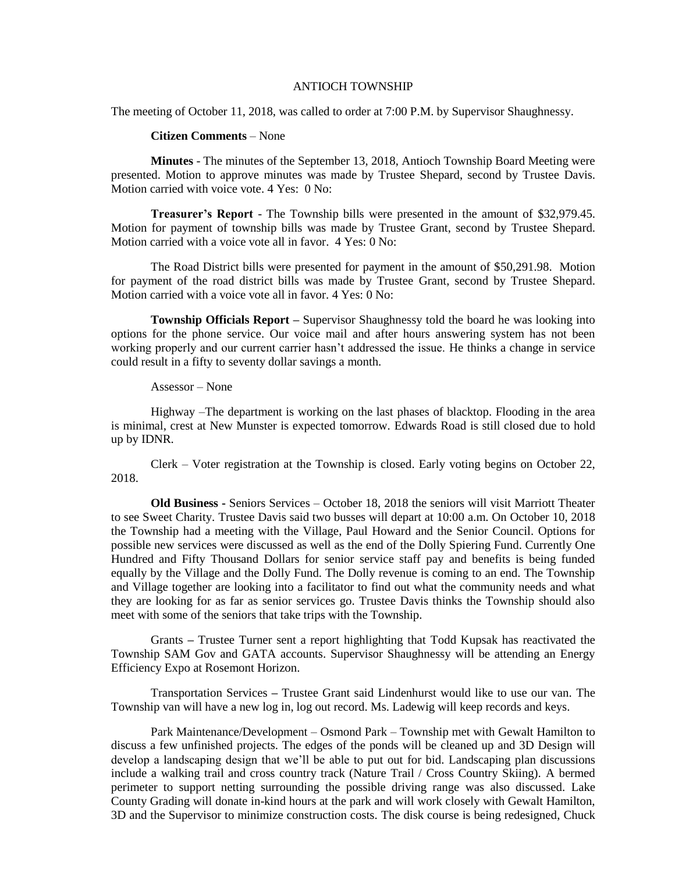## ANTIOCH TOWNSHIP

The meeting of October 11, 2018, was called to order at 7:00 P.M. by Supervisor Shaughnessy.

## **Citizen Comments** – None

**Minutes** - The minutes of the September 13, 2018, Antioch Township Board Meeting were presented. Motion to approve minutes was made by Trustee Shepard, second by Trustee Davis. Motion carried with voice vote. 4 Yes: 0 No:

**Treasurer's Report** - The Township bills were presented in the amount of \$32,979.45. Motion for payment of township bills was made by Trustee Grant, second by Trustee Shepard. Motion carried with a voice vote all in favor. 4 Yes: 0 No:

The Road District bills were presented for payment in the amount of \$50,291.98. Motion for payment of the road district bills was made by Trustee Grant, second by Trustee Shepard. Motion carried with a voice vote all in favor. 4 Yes: 0 No:

**Township Officials Report –** Supervisor Shaughnessy told the board he was looking into options for the phone service. Our voice mail and after hours answering system has not been working properly and our current carrier hasn't addressed the issue. He thinks a change in service could result in a fifty to seventy dollar savings a month.

## Assessor – None

Highway –The department is working on the last phases of blacktop. Flooding in the area is minimal, crest at New Munster is expected tomorrow. Edwards Road is still closed due to hold up by IDNR.

Clerk – Voter registration at the Township is closed. Early voting begins on October 22, 2018.

**Old Business -** Seniors Services – October 18, 2018 the seniors will visit Marriott Theater to see Sweet Charity. Trustee Davis said two busses will depart at 10:00 a.m. On October 10, 2018 the Township had a meeting with the Village, Paul Howard and the Senior Council. Options for possible new services were discussed as well as the end of the Dolly Spiering Fund. Currently One Hundred and Fifty Thousand Dollars for senior service staff pay and benefits is being funded equally by the Village and the Dolly Fund. The Dolly revenue is coming to an end. The Township and Village together are looking into a facilitator to find out what the community needs and what they are looking for as far as senior services go. Trustee Davis thinks the Township should also meet with some of the seniors that take trips with the Township.

Grants **–** Trustee Turner sent a report highlighting that Todd Kupsak has reactivated the Township SAM Gov and GATA accounts. Supervisor Shaughnessy will be attending an Energy Efficiency Expo at Rosemont Horizon.

Transportation Services **–** Trustee Grant said Lindenhurst would like to use our van. The Township van will have a new log in, log out record. Ms. Ladewig will keep records and keys.

Park Maintenance/Development – Osmond Park – Township met with Gewalt Hamilton to discuss a few unfinished projects. The edges of the ponds will be cleaned up and 3D Design will develop a landscaping design that we'll be able to put out for bid. Landscaping plan discussions include a walking trail and cross country track (Nature Trail / Cross Country Skiing). A bermed perimeter to support netting surrounding the possible driving range was also discussed. Lake County Grading will donate in-kind hours at the park and will work closely with Gewalt Hamilton, 3D and the Supervisor to minimize construction costs. The disk course is being redesigned, Chuck